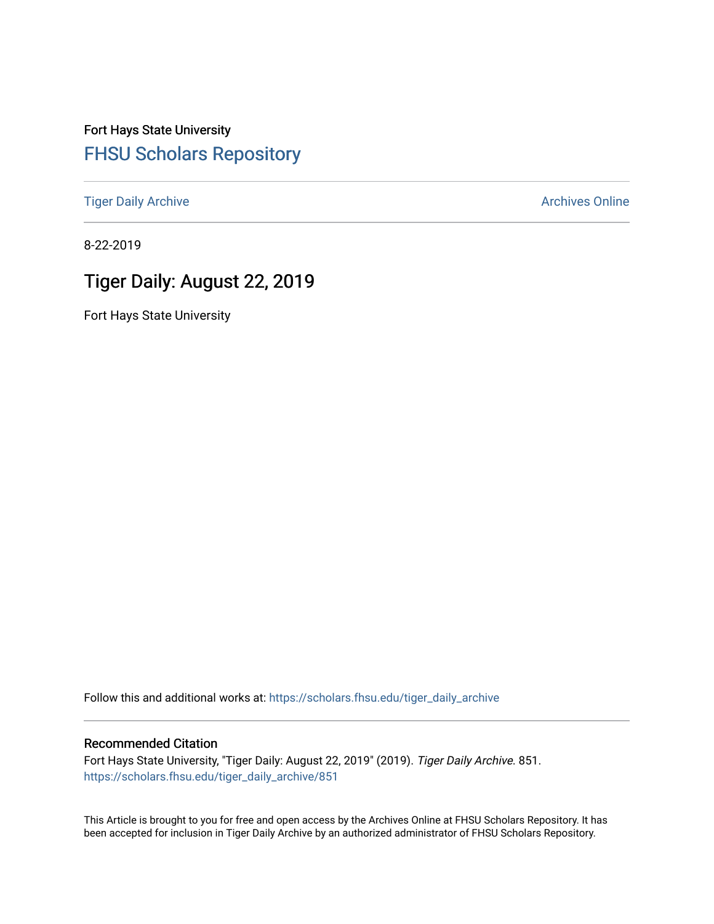Fort Hays State University [FHSU Scholars Repository](https://scholars.fhsu.edu/) 

[Tiger Daily Archive](https://scholars.fhsu.edu/tiger_daily_archive) **Archives** Online Archives Online

8-22-2019

# Tiger Daily: August 22, 2019

Fort Hays State University

Follow this and additional works at: [https://scholars.fhsu.edu/tiger\\_daily\\_archive](https://scholars.fhsu.edu/tiger_daily_archive?utm_source=scholars.fhsu.edu%2Ftiger_daily_archive%2F851&utm_medium=PDF&utm_campaign=PDFCoverPages)

#### Recommended Citation

Fort Hays State University, "Tiger Daily: August 22, 2019" (2019). Tiger Daily Archive. 851. [https://scholars.fhsu.edu/tiger\\_daily\\_archive/851](https://scholars.fhsu.edu/tiger_daily_archive/851?utm_source=scholars.fhsu.edu%2Ftiger_daily_archive%2F851&utm_medium=PDF&utm_campaign=PDFCoverPages)

This Article is brought to you for free and open access by the Archives Online at FHSU Scholars Repository. It has been accepted for inclusion in Tiger Daily Archive by an authorized administrator of FHSU Scholars Repository.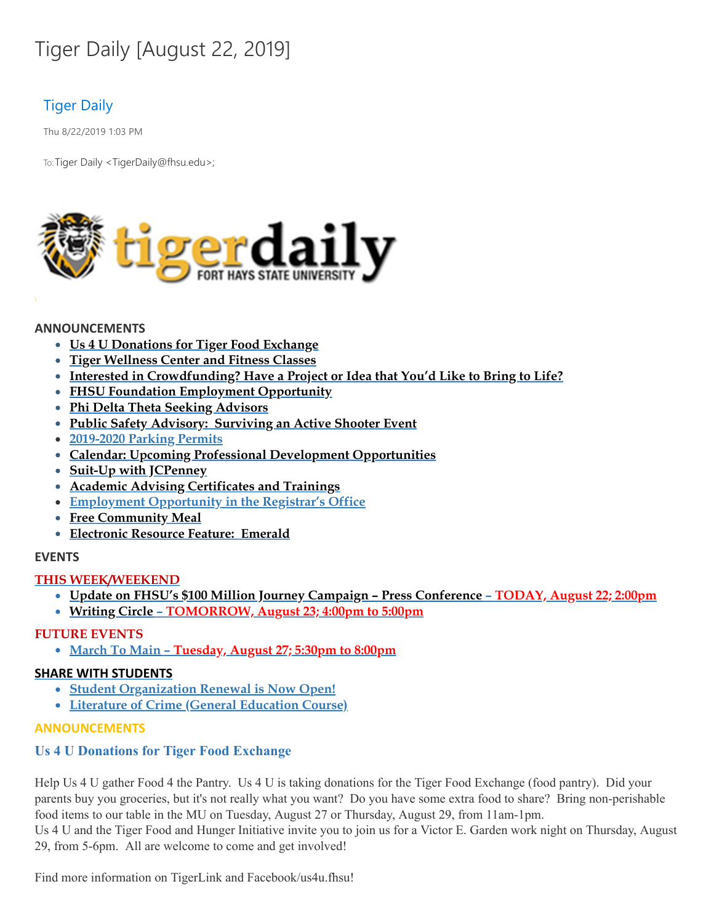# Tiger Daily [August 22, 2019]

# Tiger Daily

Thu 8/22/2019 1:03 PM

To: Tiger Daily < TigerDaily@fhsu.edu>;



#### **ANNOUNCEMENTS**

- **Us 4 U Donations for Tiger Food Exchange**
- **Tiger Wellness Center and Fitness Classes**
- **Interested in Crowdfunding? Have a Project or Idea that You'd Like to Bring to Life?**
- **FHSU Foundation Employment Opportunity**
- **Phi Delta Theta Seeking Advisors**
- **Public Safety Advisory: Surviving an Active Shooter Event**
- **2019-2020 Parking Permits**
- **Calendar: Upcoming Professional Development Opportunities**
- **Suit-Up with JCPenney**
- **Academic Advising Certificates and Trainings**
- **Employment Opportunity in the Registrar's Office**
- **Free Community Meal**
- **Electronic Resource Feature: Emerald**

## **EVENTS**

## **THIS WEEK/WEEKEND**

- **Update on FHSU's \$100 Million Journey Campaign – Press Conference – TODAY, August 22; 2:00pm**
- **[Writing](#page-6-0) Circle – TOMORROW, August 23; 4:00pm to 5:00pm**

## **FUTURE EVENTS**

**March To Main – Tuesday, August 27; 5:30pm to 8:00pm**

#### **SHARE WITH STUDENTS**

- **Student Organization Renewal is Now Open!**
- **Literature of Crime (General Education Course)**

#### **ANNOUNCEMENTS**

## **Us 4 U Donations for Tiger Food Exchange**

Help Us 4 U gather Food 4 the Pantry. Us 4 U is taking donations for the Tiger Food Exchange (food pantry). Did your parents buy you groceries, but it's not really what you want? Do you have some extra food to share? Bring non-perishable food items to our table in the MU on Tuesday, August 27 or Thursday, August 29, from 11am-1pm.

Us 4 U and the Tiger Food and Hunger Initiative invite you to join us for a Victor E. Garden work night on Thursday, August 29, from 5-6pm. All are welcome to come and get involved!

Find more information on TigerLink and Facebook/us4u.fhsu!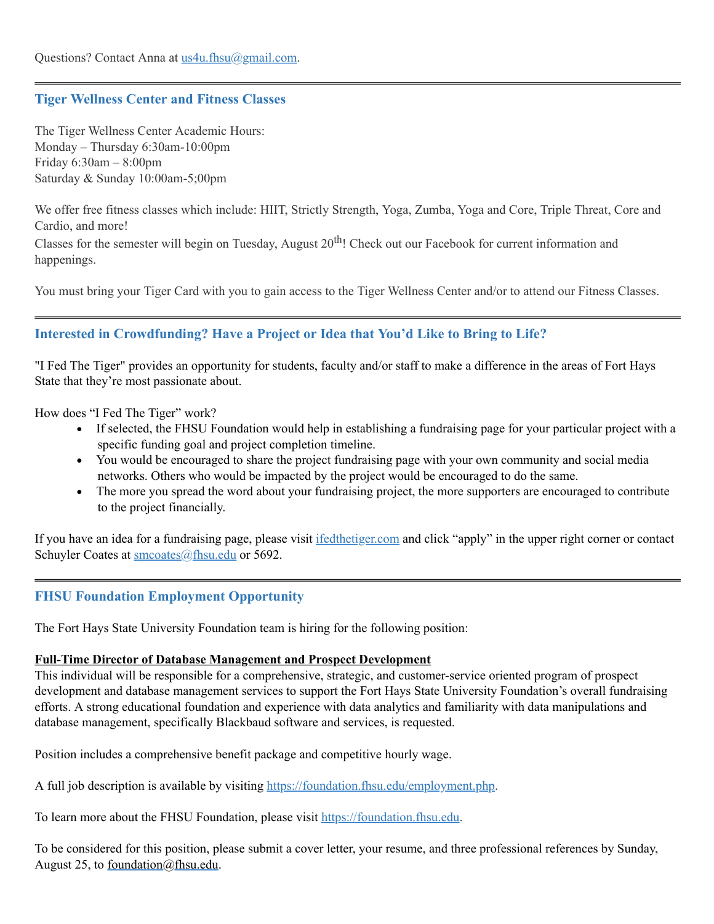# **Tiger Wellness Center and Fitness Classes**

The Tiger Wellness Center Academic Hours: Monday – Thursday 6:30am-10:00pm Friday 6:30am – 8:00pm Saturday & Sunday 10:00am-5;00pm

We offer free fitness classes which include: HIIT, Strictly Strength, Yoga, Zumba, Yoga and Core, Triple Threat, Core and Cardio, and more!

Classes for the semester will begin on Tuesday, August 20<sup>th</sup>! Check out our Facebook for current information and happenings.

You must bring your Tiger Card with you to gain access to the Tiger Wellness Center and/or to attend our Fitness Classes.

# **Interested in Crowdfunding? Have a Project or Idea that You'd Like to Bring to Life?**

"I Fed The Tiger" provides an opportunity for students, faculty and/or staff to make a difference in the areas of Fort Hays State that they're most passionate about.

How does "I Fed The Tiger" work?

- · If selected, the FHSU Foundation would help in establishing a fundraising page for your particular project with a specific funding goal and project completion timeline.
- · You would be encouraged to share the project fundraising page with your own community and social media networks. Others who would be impacted by the project would be encouraged to do the same.
- The more you spread the word about your fundraising project, the more supporters are encouraged to contribute to the project financially.

If you have an idea for a fundraising page, please visit [ifedthetiger.com](https://ifedthetiger.blackbaud-sites.com/) and click "apply" in the upper right corner or contact Schuyler Coates at [smcoates@fhsu.edu](mailto:smcoates@fhsu.edu) or 5692.

# **FHSU Foundation Employment Opportunity**

The Fort Hays State University Foundation team is hiring for the following position:

#### **Full-Time Director of Database Management and Prospect Development**

This individual will be responsible for a comprehensive, strategic, and customer-service oriented program of prospect development and database management services to support the Fort Hays State University Foundation's overall fundraising efforts. A strong educational foundation and experience with data analytics and familiarity with data manipulations and database management, specifically Blackbaud software and services, is requested.

Position includes a comprehensive benefit package and competitive hourly wage.

A full job description is available by visiting <https://foundation.fhsu.edu/employment.php>.

To learn more about the FHSU Foundation, please visit [https://foundation.fhsu.edu](https://foundation.fhsu.edu/).

To be considered for this position, please submit a cover letter, your resume, and three professional references by Sunday, August 25, to [foundation@fhsu.edu](mailto:foundation@fhsu.edu).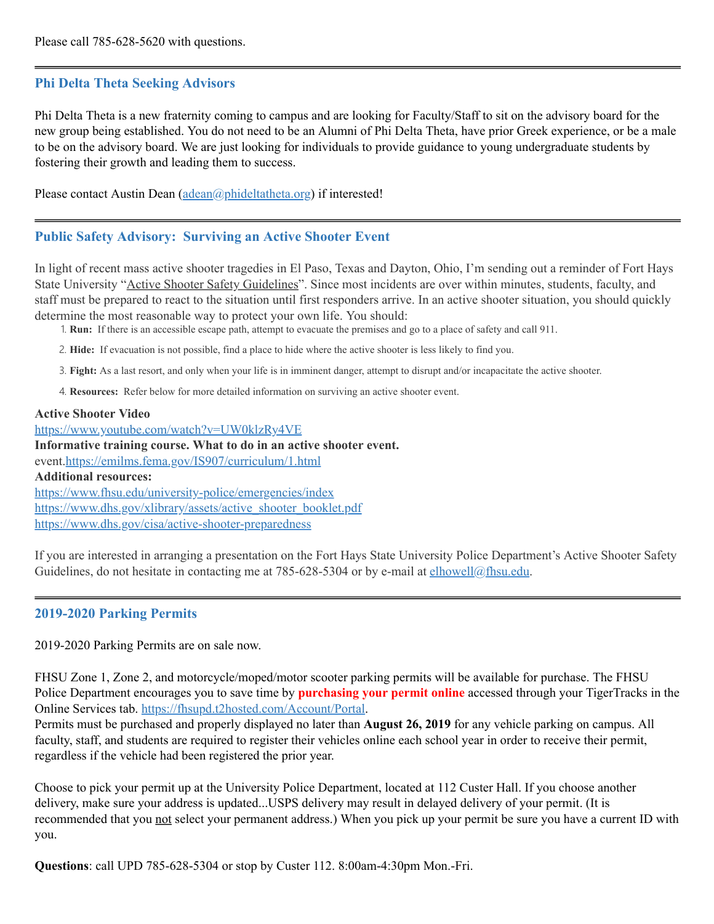# **Phi Delta Theta Seeking Advisors**

Phi Delta Theta is a new fraternity coming to campus and are looking for Faculty/Staff to sit on the advisory board for the new group being established. You do not need to be an Alumni of Phi Delta Theta, have prior Greek experience, or be a male to be on the advisory board. We are just looking for individuals to provide guidance to young undergraduate students by fostering their growth and leading them to success.

Please contact Austin Dean [\(adean@phideltatheta.org\)](mailto:adean@phideltatheta.org) if interested!

# **Public Safety Advisory: Surviving an Active Shooter Event**

In light of recent mass active shooter tragedies in El Paso, Texas and Dayton, Ohio, I'm sending out a reminder of Fort Hays State University "Active Shooter Safety Guidelines". Since most incidents are over within minutes, students, faculty, and staff must be prepared to react to the situation until first responders arrive. In an active shooter situation, you should quickly determine the most reasonable way to protect your own life. You should:

1. **Run:** If there is an accessible escape path, attempt to evacuate the premises and go to a place of safety and call 911.

- 2. **Hide:** If evacuation is not possible, find a place to hide where the active shooter is less likely to find you.
- 3. **Fight:** As a last resort, and only when your life is in imminent danger, attempt to disrupt and/or incapacitate the active shooter.
- 4. **Resources:** Refer below for more detailed information on surviving an active shooter event.

#### **Active Shooter Video**

<https://www.youtube.com/watch?v=UW0klzRy4VE> **Informative training course. What to do in an active shooter event.** event[.https://emilms.fema.gov/IS907/curriculum/1.html](https://emilms.fema.gov/IS907/curriculum/1.html) **Additional resources:** <https://www.fhsu.edu/university-police/emergencies/index> [https://www.dhs.gov/xlibrary/assets/active\\_shooter\\_booklet.pdf](https://www.dhs.gov/xlibrary/assets/active_shooter_booklet.pdf) <https://www.dhs.gov/cisa/active-shooter-preparedness>

If you are interested in arranging a presentation on the Fort Hays State University Police Department's Active Shooter Safety Guidelines, do not hesitate in contacting me at 785-628-5304 or by e-mail at [elhowell@fhsu.edu](mailto:elhowell@fhsu.edu).

## **2019-2020 Parking Permits**

2019-2020 Parking Permits are on sale now.

FHSU Zone 1, Zone 2, and motorcycle/moped/motor scooter parking permits will be available for purchase. The FHSU Police Department encourages you to save time by **purchasing your permit online** accessed through your TigerTracks in the Online Services tab. <https://fhsupd.t2hosted.com/Account/Portal>.

Permits must be purchased and properly displayed no later than **August 26, 2019** for any vehicle parking on campus. All faculty, staff, and students are required to register their vehicles online each school year in order to receive their permit, regardless if the vehicle had been registered the prior year.

Choose to pick your permit up at the University Police Department, located at 112 Custer Hall. If you choose another delivery, make sure your address is updated...USPS delivery may result in delayed delivery of your permit. (It is recommended that you not select your permanent address.) When you pick up your permit be sure you have a current ID with you.

**Questions**: call UPD 785-628-5304 or stop by Custer 112. 8:00am-4:30pm Mon.-Fri.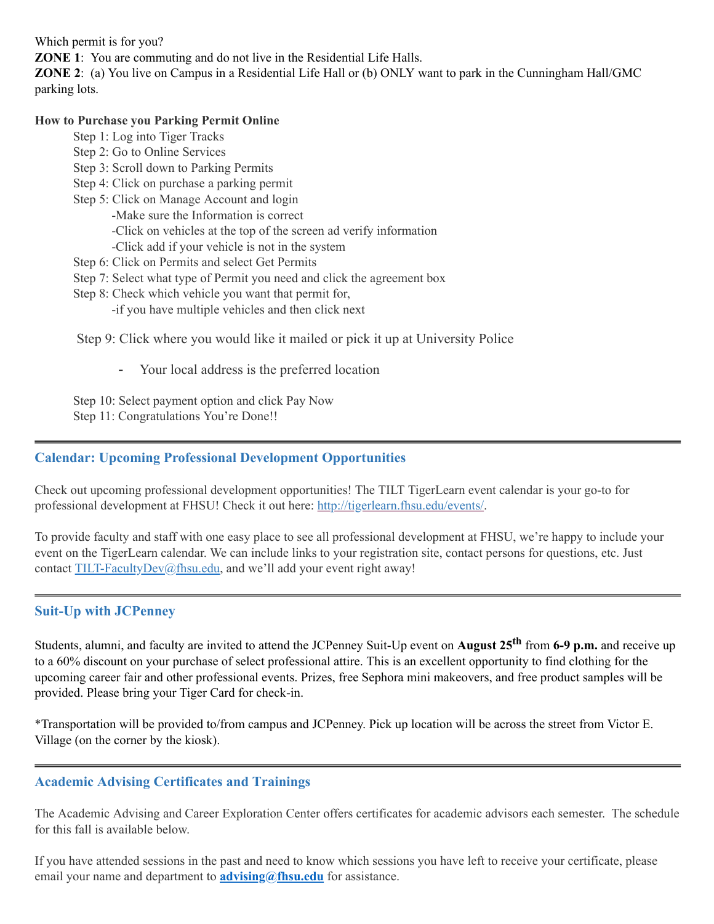Which permit is for you?

**ZONE** 1: You are commuting and do not live in the Residential Life Halls.

**ZONE 2**: (a) You live on Campus in a Residential Life Hall or (b) ONLY want to park in the Cunningham Hall/GMC parking lots.

## **How to Purchase you Parking Permit Online**

- Step 1: Log into Tiger Tracks
- Step 2: Go to Online Services
- Step 3: Scroll down to Parking Permits
- Step 4: Click on purchase a parking permit
- Step 5: Click on Manage Account and login
	- -Make sure the Information is correct
	- -Click on vehicles at the top of the screen ad verify information
	- -Click add if your vehicle is not in the system
- Step 6: Click on Permits and select Get Permits
- Step 7: Select what type of Permit you need and click the agreement box
- Step 8: Check which vehicle you want that permit for,
	- -if you have multiple vehicles and then click next

Step 9: Click where you would like it mailed or pick it up at University Police

Your local address is the preferred location

Step 10: Select payment option and click Pay Now Step 11: Congratulations You're Done!!

# **Calendar: Upcoming Professional Development Opportunities**

Check out upcoming professional development opportunities! The TILT TigerLearn event calendar is your go-to for professional development at FHSU! Check it out here: <http://tigerlearn.fhsu.edu/events/>.

To provide faculty and staff with one easy place to see all professional development at FHSU, we're happy to include your event on the TigerLearn calendar. We can include links to your registration site, contact persons for questions, etc. Just contact [TILT-FacultyDev@fhsu.edu,](mailto:TILT-FacultyDev@fhsu.edu) and we'll add your event right away!

# **Suit-Up with JCPenney**

Students, alumni, and faculty are invited to attend the JCPenney Suit-Up event on **August 25 th** from **6-9 p.m.** and receive up to a 60% discount on your purchase of select professional attire. This is an excellent opportunity to find clothing for the upcoming career fair and other professional events. Prizes, free Sephora mini makeovers, and free product samples will be provided. Please bring your Tiger Card for check-in.

\*Transportation will be provided to/from campus and JCPenney. Pick up location will be across the street from Victor E. Village (on the corner by the kiosk).

# **Academic Advising Certificates and Trainings**

The Academic Advising and Career Exploration Center offers certificates for academic advisors each semester. The schedule for this fall is available below.

If you have attended sessions in the past and need to know which sessions you have left to receive your certificate, please email your name and department to **[advising@fhsu.edu](mailto:advising@fhsu.edu)** for assistance.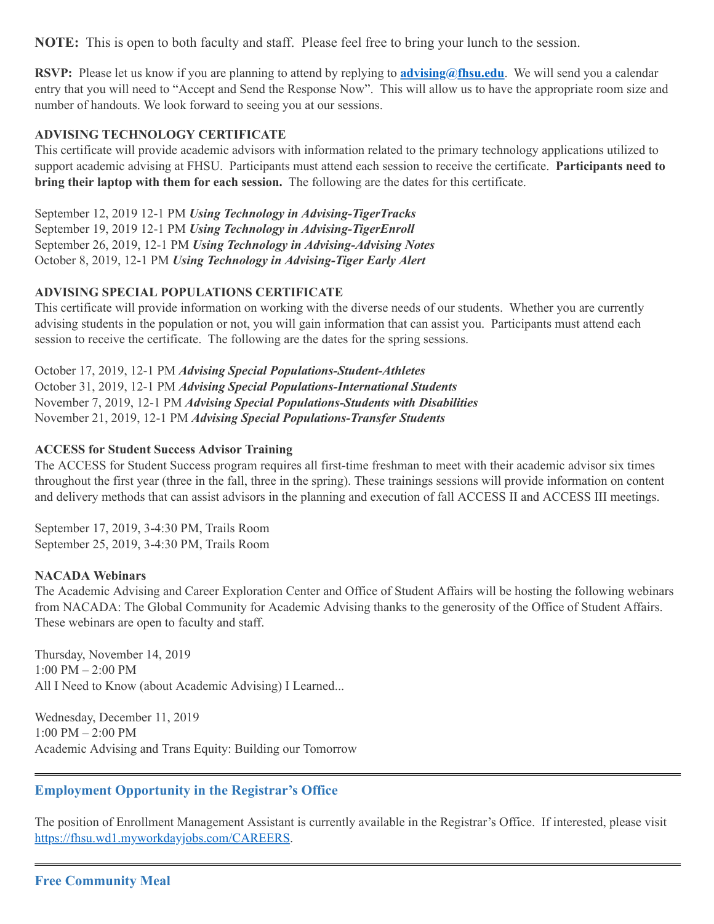**NOTE:** This is open to both faculty and staff. Please feel free to bring your lunch to the session.

**RSVP:** Please let us know if you are planning to attend by replying to **[advising@fhsu.edu](mailto:advising@fhsu.edu)**. We will send you a calendar entry that you will need to "Accept and Send the Response Now" . This will allow us to have the appropriate room size and number of handouts. We look forward to seeing you at our sessions.

# **ADVISING TECHNOLOGY CERTIFICATE**

This certificate will provide academic advisors with information related to the primary technology applications utilized to support academic advising at FHSU. Participants must attend each session to receive the certificate. **Participants need to bring their laptop with them for each session.** The following are the dates for this certificate.

September 12, 2019 12-1 PM *Using Technology in Advising-TigerTracks* September 19, 2019 12-1 PM *Using Technology in Advising-TigerEnroll* September 26, 2019, 12-1 PM *Using Technology in Advising-Advising Notes* October 8, 2019, 12-1 PM *Using Technology in Advising-Tiger Early Alert*

# **ADVISING SPECIAL POPULATIONS CERTIFICATE**

This certificate will provide information on working with the diverse needs of our students. Whether you are currently advising students in the population or not, you will gain information that can assist you. Participants must attend each session to receive the certificate. The following are the dates for the spring sessions.

October 17, 2019, 12-1 PM *Advising Special Populations-Student-Athletes* October 31, 2019, 12-1 PM *Advising Special Populations-International Students* November 7, 2019, 12-1 PM *Advising Special Populations-Students with Disabilities* November 21, 2019, 12-1 PM *Advising Special Populations-Transfer Students*

## **ACCESS for Student Success Advisor Training**

The ACCESS for Student Success program requires all first-time freshman to meet with their academic advisor six times throughout the first year (three in the fall, three in the spring). These trainings sessions will provide information on content and delivery methods that can assist advisors in the planning and execution of fall ACCESS II and ACCESS III meetings.

September 17, 2019, 3-4:30 PM, Trails Room September 25, 2019, 3-4:30 PM, Trails Room

## **NACADA Webinars**

The Academic Advising and Career Exploration Center and Office of Student Affairs will be hosting the following webinars from NACADA: The Global Community for Academic Advising thanks to the generosity of the Office of Student Affairs. These webinars are open to faculty and staff.

Thursday, November 14, 2019 1:00 PM – 2:00 PM All I Need to Know (about Academic Advising) I Learned...

Wednesday, December 11, 2019 1:00 PM – 2:00 PM Academic Advising and Trans Equity: Building our Tomorrow

# **Employment Opportunity in the Registrar's Office**

The position of Enrollment Management Assistant is currently available in the Registrar's Office. If interested, please visit [https://fhsu.wd1.myworkdayjobs.com/CAREERS.](https://fhsu.wd1.myworkdayjobs.com/CAREERS)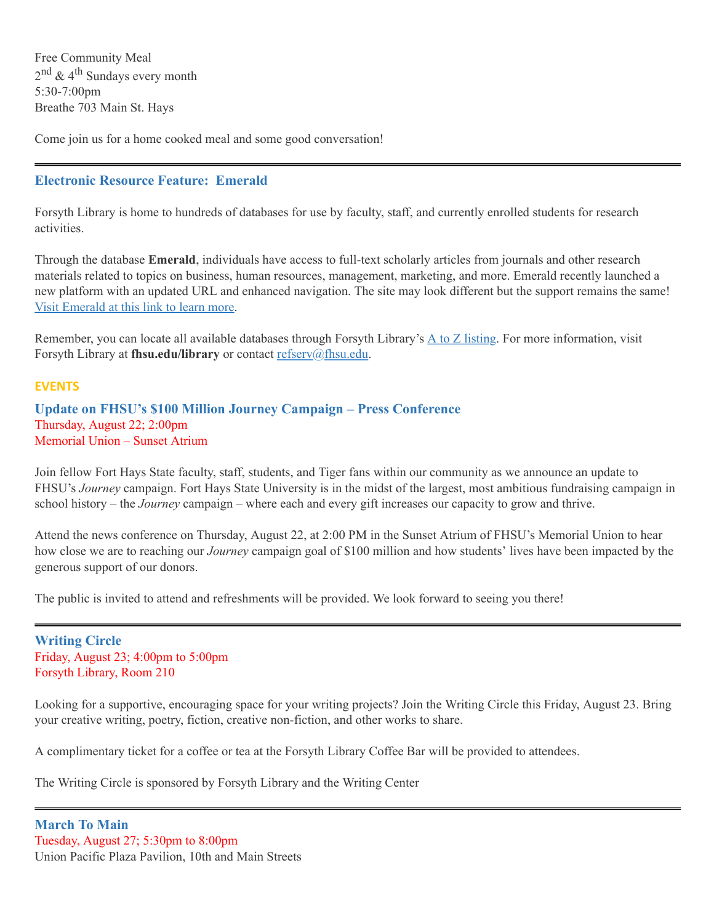Free Community Meal 2<sup>nd</sup> & 4<sup>th</sup> Sundays every month 5:30-7:00pm Breathe 703 Main St. Hays

<span id="page-6-0"></span>Come join us for a home cooked meal and some good conversation!

# **Electronic Resource Feature: Emerald**

Forsyth Library is home to hundreds of databases for use by faculty, staff, and currently enrolled students for research activities.

Through the database **Emerald**, individuals have access to full-text scholarly articles from journals and other research materials related to topics on business, human resources, management, marketing, and more. Emerald recently launched a new platform with an updated URL and enhanced navigation. The site may look different but the support remains the same! Visit [Emerald](http://ezproxy.fhsu.edu:2048/login?url=https://www.emerald.com/insight) at this link to learn more.

Remember, you can locate all available databases through Forsyth Library's  $\underline{A}$  to  $\underline{Z}$  [listing.](https://fhsuguides.fhsu.edu/az.php) For more information, visit Forsyth Library at **fhsu.edu/library** or contact [refserv@fhsu.edu.](mailto:refserv@fhsu.edu)

#### **EVENTS**

**Update on FHSU's \$100 Million Journey Campaign – Press Conference** Thursday, August 22; 2:00pm Memorial Union – Sunset Atrium

Join fellow Fort Hays State faculty, staff, students, and Tiger fans within our community as we announce an update to FHSU's *Journey* campaign. Fort Hays State University is in the midst of the largest, most ambitious fundraising campaign in school history – the *Journey* campaign – where each and every gift increases our capacity to grow and thrive.

Attend the news conference on Thursday, August 22, at 2:00 PM in the Sunset Atrium of FHSU's Memorial Union to hear how close we are to reaching our *Journey* campaign goal of \$100 million and how students' lives have been impacted by the generous support of our donors.

The public is invited to attend and refreshments will be provided. We look forward to seeing you there!

**Writing Circle** Friday, August 23; 4:00pm to 5:00pm Forsyth Library, Room 210

Looking for a supportive, encouraging space for your writing projects? Join the Writing Circle this Friday, August 23. Bring your creative writing, poetry, fiction, creative non-fiction, and other works to share.

A complimentary ticket for a coffee or tea at the Forsyth Library Coffee Bar will be provided to attendees.

The Writing Circle is sponsored by Forsyth Library and the Writing Center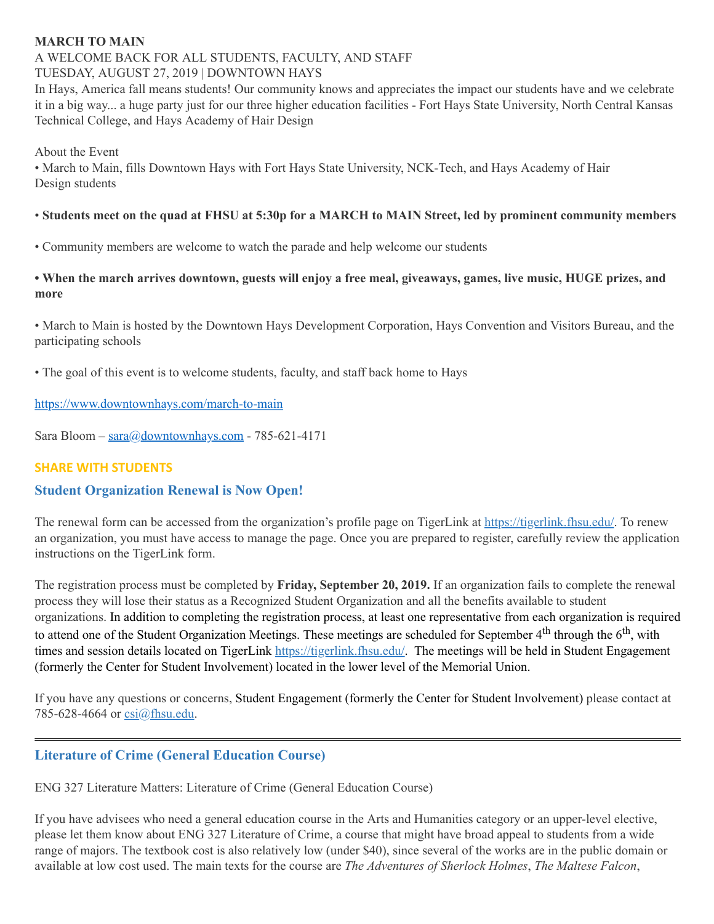# **MARCH TO MAIN**

#### A WELCOME BACK FOR ALL STUDENTS, FACULTY, AND STAFF TUESDAY, AUGUST 27, 2019 | DOWNTOWN HAYS

In Hays, America fall means students! Our community knows and appreciates the impact our students have and we celebrate it in a big way... a huge party just for our three higher education facilities - Fort Hays State University, North Central Kansas Technical College, and Hays Academy of Hair Design

About the Event

• March to Main, fills Downtown Hays with Fort Hays State University, NCK-Tech, and Hays Academy of Hair Design students

# • Students meet on the quad at FHSU at 5:30p for a MARCH to MAIN Street, led by prominent community members

• Community members are welcome to watch the parade and help welcome our students

## • When the march arrives downtown, guests will enjoy a free meal, giveaways, games, live music, HUGE prizes, and **more**

• March to Main is hosted by the Downtown Hays Development Corporation, Hays Convention and Visitors Bureau, and the participating schools

• The goal of this event is to welcome students, faculty, and staff back home to Hays

<https://www.downtownhays.com/march-to-main>

Sara Bloom - [sara@downtownhays.com](mailto:sara@downtownhays.com) - 785-621-4171

# **SHARE WITH STUDENTS**

# **Student Organization Renewal is Now Open!**

The renewal form can be accessed from the organization's profile page on TigerLink at [https://tigerlink.fhsu.edu/.](https://tigerlink.fhsu.edu/) To renew an organization, you must have access to manage the page. Once you are prepared to register, carefully review the application instructions on the TigerLink form.

The registration process must be completed by **Friday, September 20, 2019.** If an organization fails to complete the renewal process they will lose their status as a Recognized Student Organization and all the benefits available to student organizations. In addition to completing the registration process, at least one representative from each organization is required to attend one of the Student Organization Meetings. These meetings are scheduled for September 4<sup>th</sup> through the  $6^{\text{th}}$ , with times and session details located on TigerLink <https://tigerlink.fhsu.edu/>. The meetings will be held in Student Engagement (formerly the Center for Student Involvement) located in the lower level of the Memorial Union.

If you have any questions or concerns, Student Engagement (formerly the Center for Student Involvement) please contact at 785-628-4664 or [csi@fhsu.edu](mailto:csi@fhsu.edu).

# **Literature of Crime (General Education Course)**

ENG 327 Literature Matters: Literature of Crime (General Education Course)

If you have advisees who need a general education course in the Arts and Humanities category or an upper-level elective, please let them know about ENG 327 Literature of Crime, a course that might have broad appeal to students from a wide range of majors. The textbook cost is also relatively low (under \$40), since several of the works are in the public domain or available at low cost used. The main texts for the course are *The Adventures of Sherlock Holmes*, *The Maltese Falcon*,